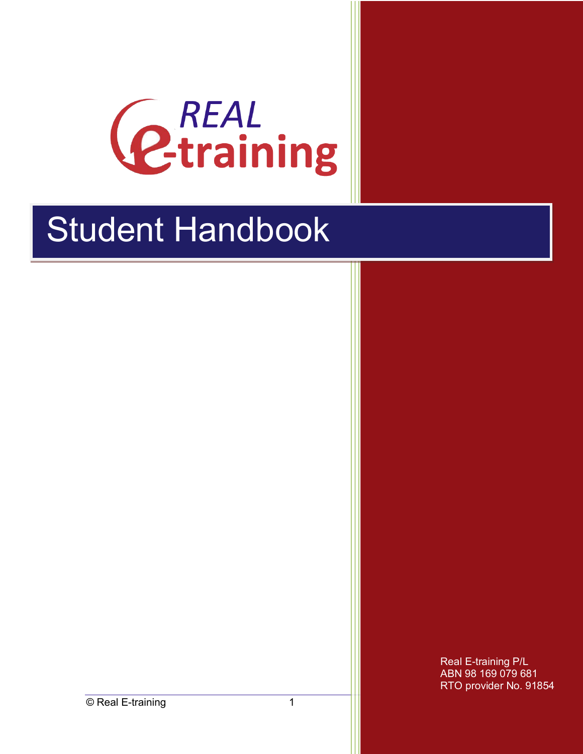

# **Student Handbook**

Real E-training P/L ABN 98 169 079 681 RTO provider No. 91854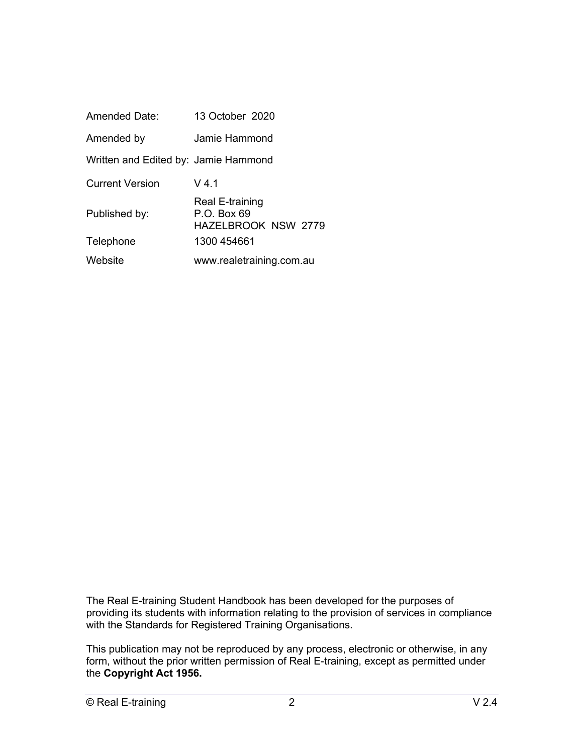| <b>Amended Date:</b>                 | 13 October 2020                                                |
|--------------------------------------|----------------------------------------------------------------|
| Amended by                           | Jamie Hammond                                                  |
| Written and Edited by: Jamie Hammond |                                                                |
| Current Version                      | $V$ 4.1                                                        |
| Published by:                        | Real E-training<br>$P.O.$ Box 69<br><b>HAZELBROOK NSW 2779</b> |
| Telephone                            | 1300 454661                                                    |
| Website                              | www.realetraining.com.au                                       |

The Real E-training Student Handbook has been developed for the purposes of providing its students with information relating to the provision of services in compliance with the Standards for Registered Training Organisations.

This publication may not be reproduced by any process, electronic or otherwise, in any form, without the prior written permission of Real E-training, except as permitted under the **Copyright Act 1956.**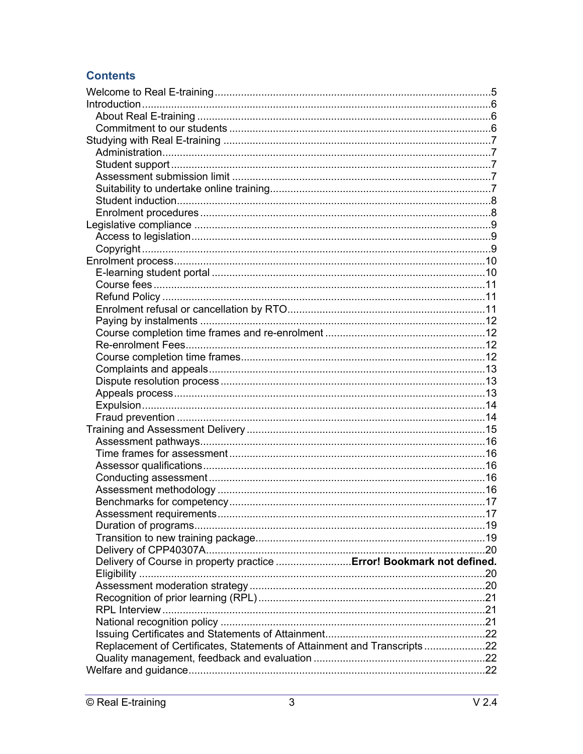# **Contents**

| Delivery of Course in property practice  Error! Bookmark not defined.   |  |
|-------------------------------------------------------------------------|--|
|                                                                         |  |
|                                                                         |  |
|                                                                         |  |
|                                                                         |  |
|                                                                         |  |
|                                                                         |  |
| Replacement of Certificates, Statements of Attainment and Transcripts22 |  |
|                                                                         |  |
|                                                                         |  |
|                                                                         |  |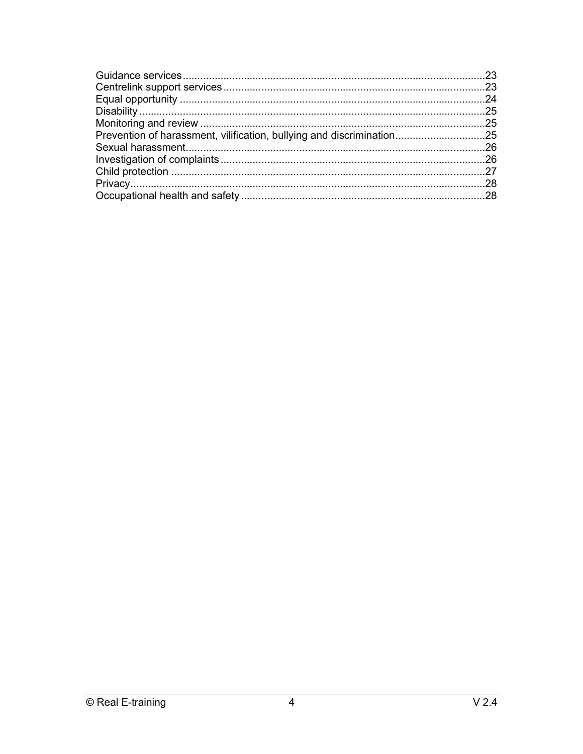| Prevention of harassment, vilification, bullying and discrimination25 |  |
|-----------------------------------------------------------------------|--|
|                                                                       |  |
|                                                                       |  |
|                                                                       |  |
|                                                                       |  |
|                                                                       |  |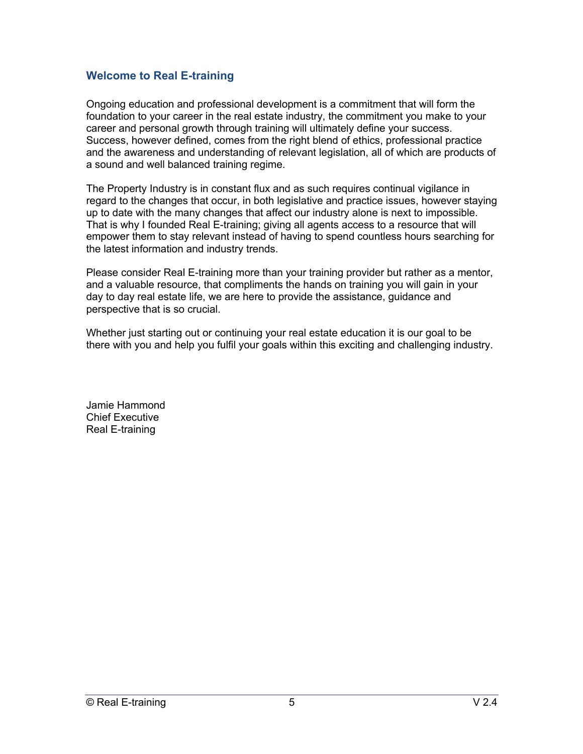## **Welcome to Real E-training**

Ongoing education and professional development is a commitment that will form the foundation to your career in the real estate industry, the commitment you make to your career and personal growth through training will ultimately define your success. Success, however defined, comes from the right blend of ethics, professional practice and the awareness and understanding of relevant legislation, all of which are products of a sound and well balanced training regime.

The Property Industry is in constant flux and as such requires continual vigilance in regard to the changes that occur, in both legislative and practice issues, however staying up to date with the many changes that affect our industry alone is next to impossible. That is why I founded Real E-training; giving all agents access to a resource that will empower them to stay relevant instead of having to spend countless hours searching for the latest information and industry trends.

Please consider Real E-training more than your training provider but rather as a mentor, and a valuable resource, that compliments the hands on training you will gain in your day to day real estate life, we are here to provide the assistance, guidance and perspective that is so crucial.

Whether just starting out or continuing your real estate education it is our goal to be there with you and help you fulfil your goals within this exciting and challenging industry.

Jamie Hammond Chief Executive Real E-training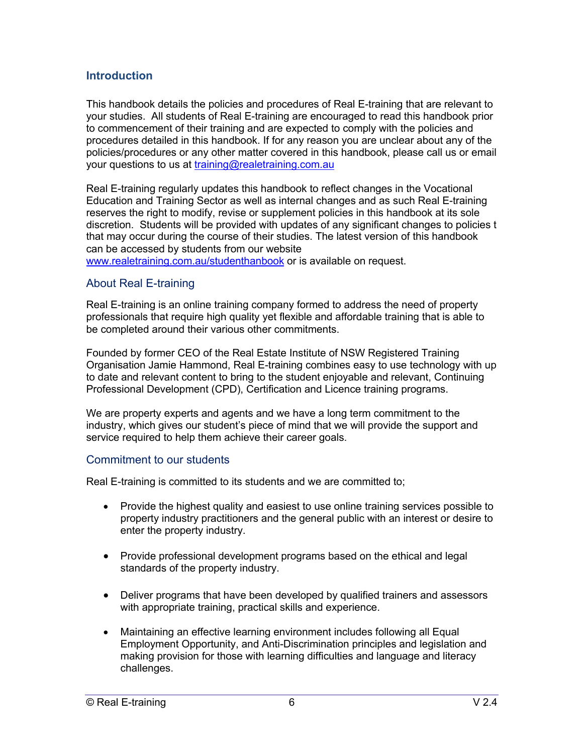## **Introduction**

This handbook details the policies and procedures of Real E-training that are relevant to your studies. All students of Real E-training are encouraged to read this handbook prior to commencement of their training and are expected to comply with the policies and procedures detailed in this handbook. If for any reason you are unclear about any of the policies/procedures or any other matter covered in this handbook, please call us or email your questions to us at training@realetraining.com.au

Real E-training regularly updates this handbook to reflect changes in the Vocational Education and Training Sector as well as internal changes and as such Real E-training reserves the right to modify, revise or supplement policies in this handbook at its sole discretion. Students will be provided with updates of any significant changes to policies t that may occur during the course of their studies. The latest version of this handbook can be accessed by students from our website

www.realetraining.com.au/studenthanbook or is available on request.

## About Real E-training

Real E-training is an online training company formed to address the need of property professionals that require high quality yet flexible and affordable training that is able to be completed around their various other commitments.

Founded by former CEO of the Real Estate Institute of NSW Registered Training Organisation Jamie Hammond, Real E-training combines easy to use technology with up to date and relevant content to bring to the student enjoyable and relevant, Continuing Professional Development (CPD), Certification and Licence training programs.

We are property experts and agents and we have a long term commitment to the industry, which gives our student's piece of mind that we will provide the support and service required to help them achieve their career goals.

#### Commitment to our students

Real E-training is committed to its students and we are committed to;

- Provide the highest quality and easiest to use online training services possible to property industry practitioners and the general public with an interest or desire to enter the property industry.
- Provide professional development programs based on the ethical and legal standards of the property industry.
- Deliver programs that have been developed by qualified trainers and assessors with appropriate training, practical skills and experience.
- Maintaining an effective learning environment includes following all Equal Employment Opportunity, and Anti-Discrimination principles and legislation and making provision for those with learning difficulties and language and literacy challenges.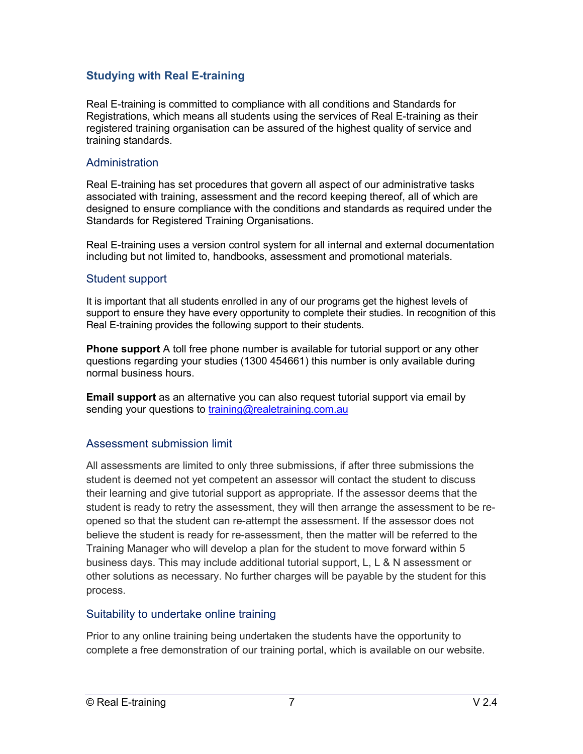## **Studying with Real E-training**

Real E-training is committed to compliance with all conditions and Standards for Registrations, which means all students using the services of Real E-training as their registered training organisation can be assured of the highest quality of service and training standards.

## **Administration**

Real E-training has set procedures that govern all aspect of our administrative tasks associated with training, assessment and the record keeping thereof, all of which are designed to ensure compliance with the conditions and standards as required under the Standards for Registered Training Organisations.

Real E-training uses a version control system for all internal and external documentation including but not limited to, handbooks, assessment and promotional materials.

## Student support

It is important that all students enrolled in any of our programs get the highest levels of support to ensure they have every opportunity to complete their studies. In recognition of this Real E-training provides the following support to their students.

**Phone support** A toll free phone number is available for tutorial support or any other questions regarding your studies (1300 454661) this number is only available during normal business hours.

**Email support** as an alternative you can also request tutorial support via email by sending your questions to training@realetraining.com.au

## Assessment submission limit

All assessments are limited to only three submissions, if after three submissions the student is deemed not yet competent an assessor will contact the student to discuss their learning and give tutorial support as appropriate. If the assessor deems that the student is ready to retry the assessment, they will then arrange the assessment to be reopened so that the student can re-attempt the assessment. If the assessor does not believe the student is ready for re-assessment, then the matter will be referred to the Training Manager who will develop a plan for the student to move forward within 5 business days. This may include additional tutorial support, L, L & N assessment or other solutions as necessary. No further charges will be payable by the student for this process.

#### Suitability to undertake online training

Prior to any online training being undertaken the students have the opportunity to complete a free demonstration of our training portal, which is available on our website.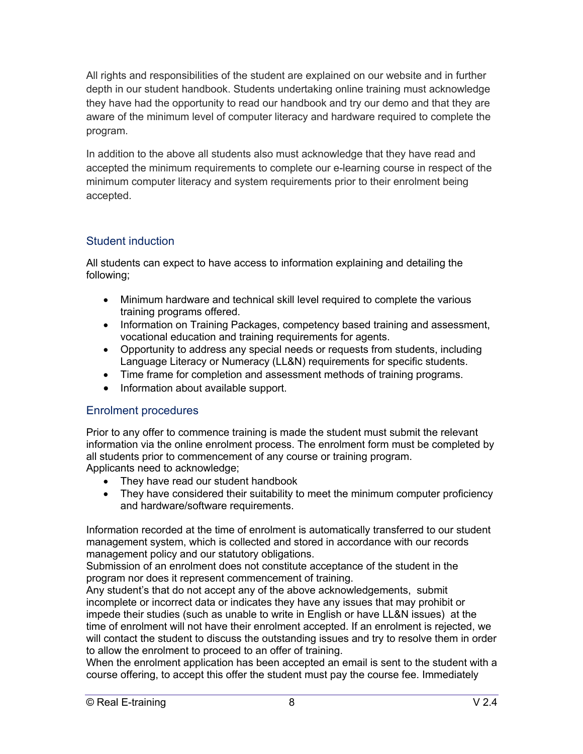All rights and responsibilities of the student are explained on our website and in further depth in our student handbook. Students undertaking online training must acknowledge they have had the opportunity to read our handbook and try our demo and that they are aware of the minimum level of computer literacy and hardware required to complete the program.

In addition to the above all students also must acknowledge that they have read and accepted the minimum requirements to complete our e-learning course in respect of the minimum computer literacy and system requirements prior to their enrolment being accepted.

# Student induction

All students can expect to have access to information explaining and detailing the following;

- Minimum hardware and technical skill level required to complete the various training programs offered.
- Information on Training Packages, competency based training and assessment, vocational education and training requirements for agents.
- Opportunity to address any special needs or requests from students, including Language Literacy or Numeracy (LL&N) requirements for specific students.
- Time frame for completion and assessment methods of training programs.
- Information about available support.

## Enrolment procedures

Prior to any offer to commence training is made the student must submit the relevant information via the online enrolment process. The enrolment form must be completed by all students prior to commencement of any course or training program. Applicants need to acknowledge;

- They have read our student handbook
- They have considered their suitability to meet the minimum computer proficiency and hardware/software requirements.

Information recorded at the time of enrolment is automatically transferred to our student management system, which is collected and stored in accordance with our records management policy and our statutory obligations.

Submission of an enrolment does not constitute acceptance of the student in the program nor does it represent commencement of training.

Any student's that do not accept any of the above acknowledgements, submit incomplete or incorrect data or indicates they have any issues that may prohibit or impede their studies (such as unable to write in English or have LL&N issues) at the time of enrolment will not have their enrolment accepted. If an enrolment is rejected, we will contact the student to discuss the outstanding issues and try to resolve them in order to allow the enrolment to proceed to an offer of training.

When the enrolment application has been accepted an email is sent to the student with a course offering, to accept this offer the student must pay the course fee. Immediately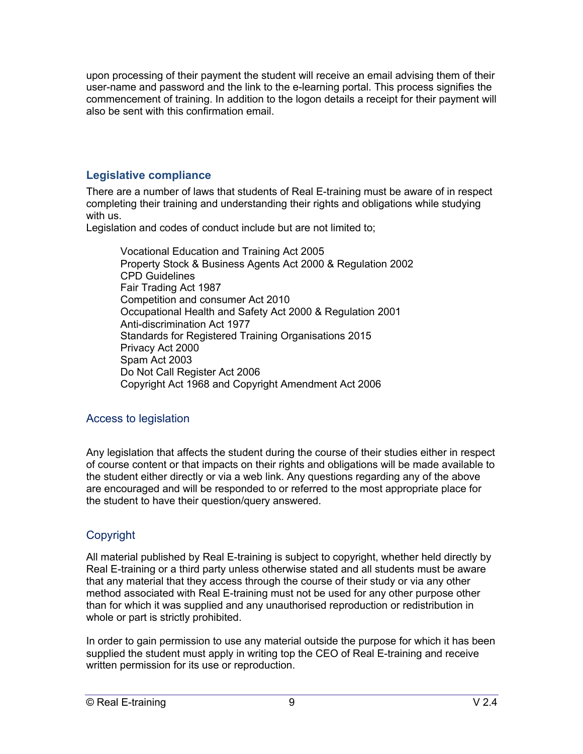upon processing of their payment the student will receive an email advising them of their user-name and password and the link to the e-learning portal. This process signifies the commencement of training. In addition to the logon details a receipt for their payment will also be sent with this confirmation email.

## **Legislative compliance**

There are a number of laws that students of Real E-training must be aware of in respect completing their training and understanding their rights and obligations while studying with us.

Legislation and codes of conduct include but are not limited to;

Vocational Education and Training Act 2005 Property Stock & Business Agents Act 2000 & Regulation 2002 CPD Guidelines Fair Trading Act 1987 Competition and consumer Act 2010 Occupational Health and Safety Act 2000 & Regulation 2001 Anti-discrimination Act 1977 Standards for Registered Training Organisations 2015 Privacy Act 2000 Spam Act 2003 Do Not Call Register Act 2006 Copyright Act 1968 and Copyright Amendment Act 2006

## Access to legislation

Any legislation that affects the student during the course of their studies either in respect of course content or that impacts on their rights and obligations will be made available to the student either directly or via a web link. Any questions regarding any of the above are encouraged and will be responded to or referred to the most appropriate place for the student to have their question/query answered.

# Copyright

All material published by Real E-training is subject to copyright, whether held directly by Real E-training or a third party unless otherwise stated and all students must be aware that any material that they access through the course of their study or via any other method associated with Real E-training must not be used for any other purpose other than for which it was supplied and any unauthorised reproduction or redistribution in whole or part is strictly prohibited.

In order to gain permission to use any material outside the purpose for which it has been supplied the student must apply in writing top the CEO of Real E-training and receive written permission for its use or reproduction.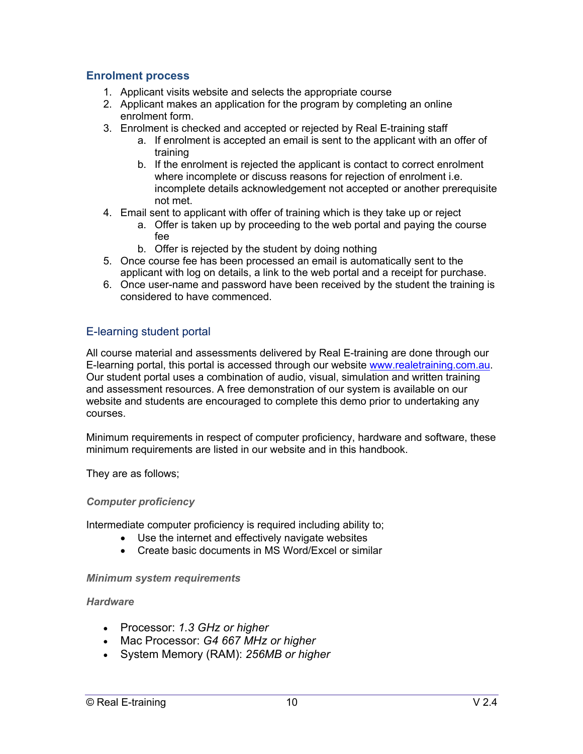#### **Enrolment process**

- 1. Applicant visits website and selects the appropriate course
- 2. Applicant makes an application for the program by completing an online enrolment form.
- 3. Enrolment is checked and accepted or rejected by Real E-training staff
	- a. If enrolment is accepted an email is sent to the applicant with an offer of training
	- b. If the enrolment is rejected the applicant is contact to correct enrolment where incomplete or discuss reasons for rejection of enrolment i.e. incomplete details acknowledgement not accepted or another prerequisite not met.
- 4. Email sent to applicant with offer of training which is they take up or reject
	- a. Offer is taken up by proceeding to the web portal and paying the course fee
	- b. Offer is rejected by the student by doing nothing
- 5. Once course fee has been processed an email is automatically sent to the applicant with log on details, a link to the web portal and a receipt for purchase.
- 6. Once user-name and password have been received by the student the training is considered to have commenced.

## E-learning student portal

All course material and assessments delivered by Real E-training are done through our E-learning portal, this portal is accessed through our website www.realetraining.com.au. Our student portal uses a combination of audio, visual, simulation and written training and assessment resources. A free demonstration of our system is available on our website and students are encouraged to complete this demo prior to undertaking any courses.

Minimum requirements in respect of computer proficiency, hardware and software, these minimum requirements are listed in our website and in this handbook.

They are as follows;

#### *Computer proficiency*

Intermediate computer proficiency is required including ability to;

- Use the internet and effectively navigate websites
- Create basic documents in MS Word/Excel or similar

#### *Minimum system requirements*

#### *Hardware*

- Processor: *1.3 GHz or higher*
- Mac Processor: *G4 667 MHz or higher*
- System Memory (RAM): *256MB or higher*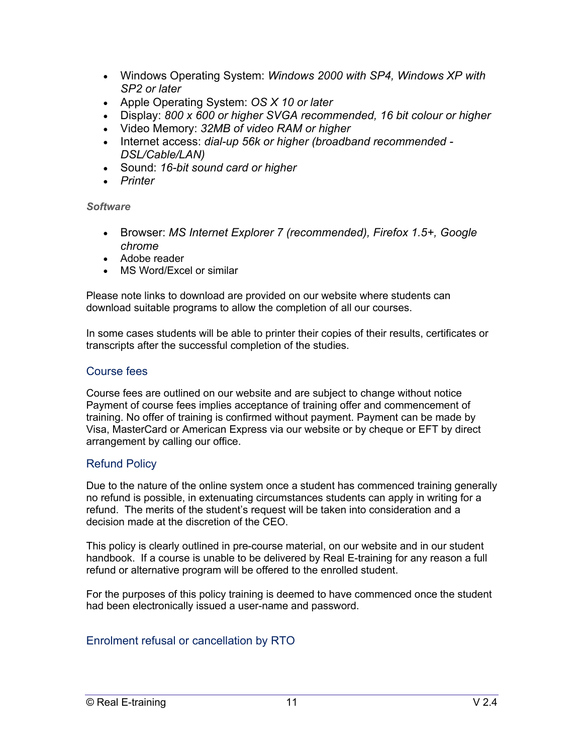- Windows Operating System: *Windows 2000 with SP4, Windows XP with SP2 or later*
- Apple Operating System: *OS X 10 or later*
- Display: *800 x 600 or higher SVGA recommended, 16 bit colour or higher*
- Video Memory: *32MB of video RAM or higher*
- Internet access: *dial-up 56k or higher (broadband recommended - DSL/Cable/LAN)*
- Sound: *16-bit sound card or higher*
- *Printer*

#### *Software*

- Browser: *MS Internet Explorer 7 (recommended), Firefox 1.5+, Google chrome*
- Adobe reader
- MS Word/Excel or similar

Please note links to download are provided on our website where students can download suitable programs to allow the completion of all our courses.

In some cases students will be able to printer their copies of their results, certificates or transcripts after the successful completion of the studies.

## Course fees

Course fees are outlined on our website and are subject to change without notice Payment of course fees implies acceptance of training offer and commencement of training. No offer of training is confirmed without payment. Payment can be made by Visa, MasterCard or American Express via our website or by cheque or EFT by direct arrangement by calling our office.

#### Refund Policy

Due to the nature of the online system once a student has commenced training generally no refund is possible, in extenuating circumstances students can apply in writing for a refund. The merits of the student's request will be taken into consideration and a decision made at the discretion of the CEO.

This policy is clearly outlined in pre-course material, on our website and in our student handbook. If a course is unable to be delivered by Real E-training for any reason a full refund or alternative program will be offered to the enrolled student.

For the purposes of this policy training is deemed to have commenced once the student had been electronically issued a user-name and password.

## Enrolment refusal or cancellation by RTO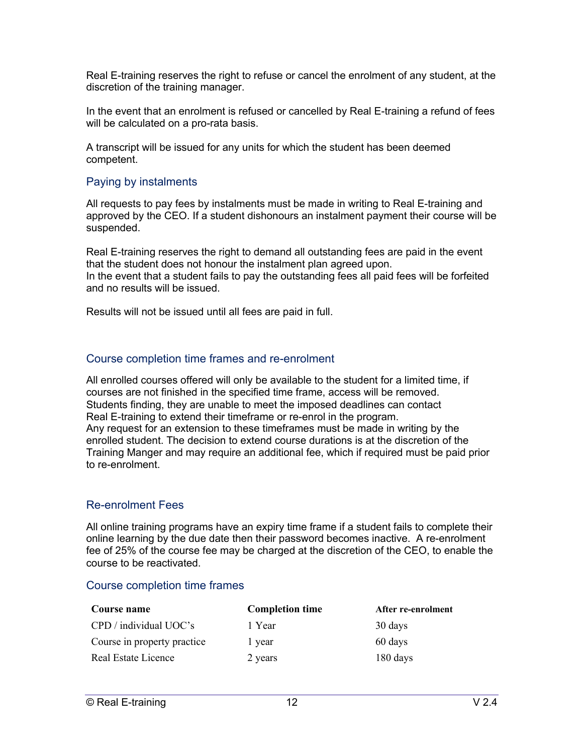Real E-training reserves the right to refuse or cancel the enrolment of any student, at the discretion of the training manager.

In the event that an enrolment is refused or cancelled by Real E-training a refund of fees will be calculated on a pro-rata basis.

A transcript will be issued for any units for which the student has been deemed competent.

#### Paying by instalments

All requests to pay fees by instalments must be made in writing to Real E-training and approved by the CEO. If a student dishonours an instalment payment their course will be suspended.

Real E-training reserves the right to demand all outstanding fees are paid in the event that the student does not honour the instalment plan agreed upon. In the event that a student fails to pay the outstanding fees all paid fees will be forfeited and no results will be issued.

Results will not be issued until all fees are paid in full.

#### Course completion time frames and re-enrolment

All enrolled courses offered will only be available to the student for a limited time, if courses are not finished in the specified time frame, access will be removed. Students finding, they are unable to meet the imposed deadlines can contact Real E-training to extend their timeframe or re-enrol in the program. Any request for an extension to these timeframes must be made in writing by the enrolled student. The decision to extend course durations is at the discretion of the Training Manger and may require an additional fee, which if required must be paid prior to re-enrolment.

#### Re-enrolment Fees

All online training programs have an expiry time frame if a student fails to complete their online learning by the due date then their password becomes inactive. A re-enrolment fee of 25% of the course fee may be charged at the discretion of the CEO, to enable the course to be reactivated.

#### Course completion time frames

| Course name                 | <b>Completion time</b> | After re-enrolment |
|-----------------------------|------------------------|--------------------|
| $CPD /$ individual $UOC's$  | 1 Year                 | 30 days            |
| Course in property practice | l year                 | 60 days            |
| Real Estate Licence         | 2 years                | 180 days           |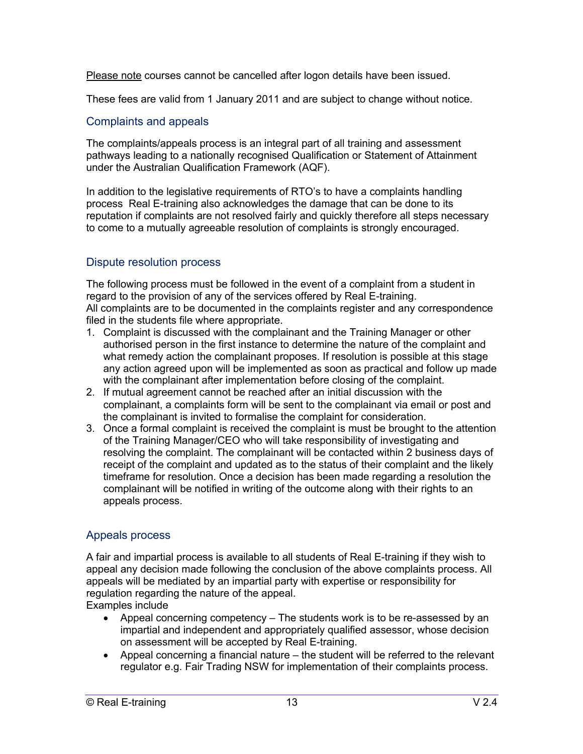Please note courses cannot be cancelled after logon details have been issued.

These fees are valid from 1 January 2011 and are subject to change without notice.

# Complaints and appeals

The complaints/appeals process is an integral part of all training and assessment pathways leading to a nationally recognised Qualification or Statement of Attainment under the Australian Qualification Framework (AQF).

In addition to the legislative requirements of RTO's to have a complaints handling process Real E-training also acknowledges the damage that can be done to its reputation if complaints are not resolved fairly and quickly therefore all steps necessary to come to a mutually agreeable resolution of complaints is strongly encouraged.

# Dispute resolution process

The following process must be followed in the event of a complaint from a student in regard to the provision of any of the services offered by Real E-training. All complaints are to be documented in the complaints register and any correspondence filed in the students file where appropriate.

- 1. Complaint is discussed with the complainant and the Training Manager or other authorised person in the first instance to determine the nature of the complaint and what remedy action the complainant proposes. If resolution is possible at this stage any action agreed upon will be implemented as soon as practical and follow up made with the complainant after implementation before closing of the complaint.
- 2. If mutual agreement cannot be reached after an initial discussion with the complainant, a complaints form will be sent to the complainant via email or post and the complainant is invited to formalise the complaint for consideration.
- 3. Once a formal complaint is received the complaint is must be brought to the attention of the Training Manager/CEO who will take responsibility of investigating and resolving the complaint. The complainant will be contacted within 2 business days of receipt of the complaint and updated as to the status of their complaint and the likely timeframe for resolution. Once a decision has been made regarding a resolution the complainant will be notified in writing of the outcome along with their rights to an appeals process.

# Appeals process

A fair and impartial process is available to all students of Real E-training if they wish to appeal any decision made following the conclusion of the above complaints process. All appeals will be mediated by an impartial party with expertise or responsibility for regulation regarding the nature of the appeal.

Examples include

- Appeal concerning competency The students work is to be re-assessed by an impartial and independent and appropriately qualified assessor, whose decision on assessment will be accepted by Real E-training.
- Appeal concerning a financial nature the student will be referred to the relevant regulator e.g. Fair Trading NSW for implementation of their complaints process.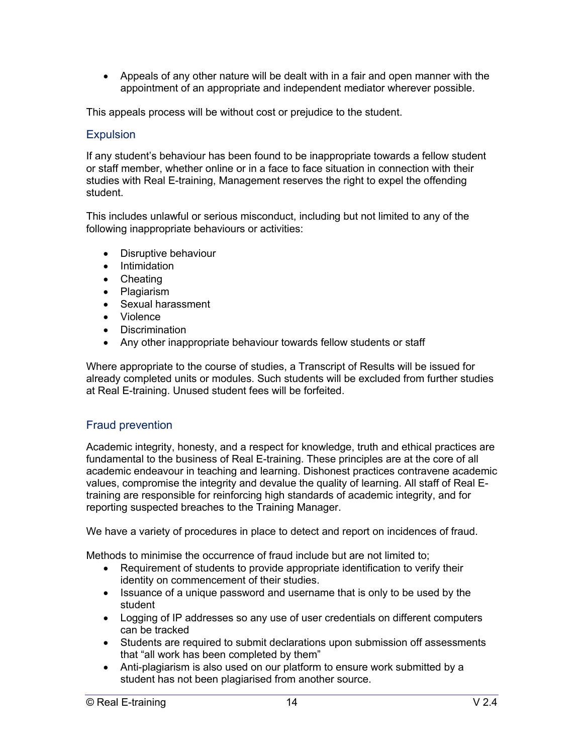• Appeals of any other nature will be dealt with in a fair and open manner with the appointment of an appropriate and independent mediator wherever possible.

This appeals process will be without cost or prejudice to the student.

#### **Expulsion**

If any student's behaviour has been found to be inappropriate towards a fellow student or staff member, whether online or in a face to face situation in connection with their studies with Real E-training, Management reserves the right to expel the offending student.

This includes unlawful or serious misconduct, including but not limited to any of the following inappropriate behaviours or activities:

- Disruptive behaviour
- Intimidation
- Cheating
- Plagiarism
- Sexual harassment
- Violence
- Discrimination
- Any other inappropriate behaviour towards fellow students or staff

Where appropriate to the course of studies, a Transcript of Results will be issued for already completed units or modules. Such students will be excluded from further studies at Real E-training. Unused student fees will be forfeited.

#### Fraud prevention

Academic integrity, honesty, and a respect for knowledge, truth and ethical practices are fundamental to the business of Real E-training. These principles are at the core of all academic endeavour in teaching and learning. Dishonest practices contravene academic values, compromise the integrity and devalue the quality of learning. All staff of Real Etraining are responsible for reinforcing high standards of academic integrity, and for reporting suspected breaches to the Training Manager.

We have a variety of procedures in place to detect and report on incidences of fraud.

Methods to minimise the occurrence of fraud include but are not limited to;

- Requirement of students to provide appropriate identification to verify their identity on commencement of their studies.
- Issuance of a unique password and username that is only to be used by the student
- Logging of IP addresses so any use of user credentials on different computers can be tracked
- Students are required to submit declarations upon submission off assessments that "all work has been completed by them"
- Anti-plagiarism is also used on our platform to ensure work submitted by a student has not been plagiarised from another source.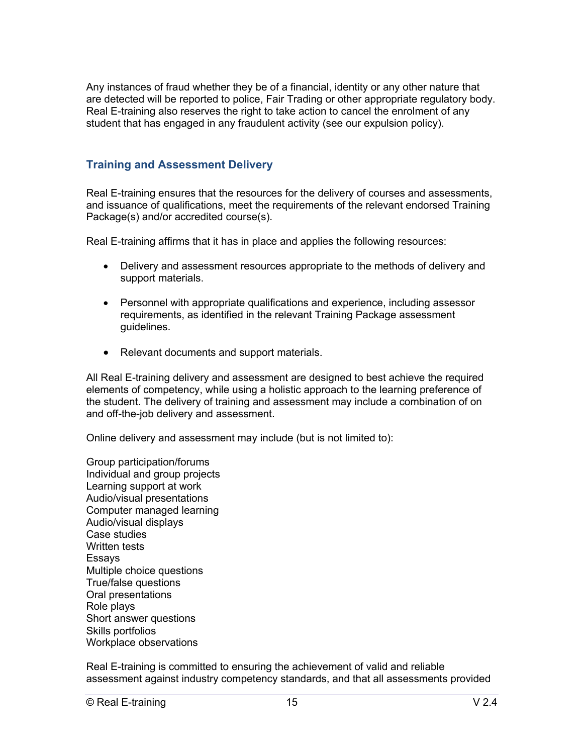Any instances of fraud whether they be of a financial, identity or any other nature that are detected will be reported to police, Fair Trading or other appropriate regulatory body. Real E-training also reserves the right to take action to cancel the enrolment of any student that has engaged in any fraudulent activity (see our expulsion policy).

## **Training and Assessment Delivery**

Real E-training ensures that the resources for the delivery of courses and assessments, and issuance of qualifications, meet the requirements of the relevant endorsed Training Package(s) and/or accredited course(s).

Real E-training affirms that it has in place and applies the following resources:

- Delivery and assessment resources appropriate to the methods of delivery and support materials.
- Personnel with appropriate qualifications and experience, including assessor requirements, as identified in the relevant Training Package assessment guidelines.
- Relevant documents and support materials.

All Real E-training delivery and assessment are designed to best achieve the required elements of competency, while using a holistic approach to the learning preference of the student. The delivery of training and assessment may include a combination of on and off-the-job delivery and assessment.

Online delivery and assessment may include (but is not limited to):

Group participation/forums Individual and group projects Learning support at work Audio/visual presentations Computer managed learning Audio/visual displays Case studies Written tests Essays Multiple choice questions True/false questions Oral presentations Role plays Short answer questions Skills portfolios Workplace observations

Real E-training is committed to ensuring the achievement of valid and reliable assessment against industry competency standards, and that all assessments provided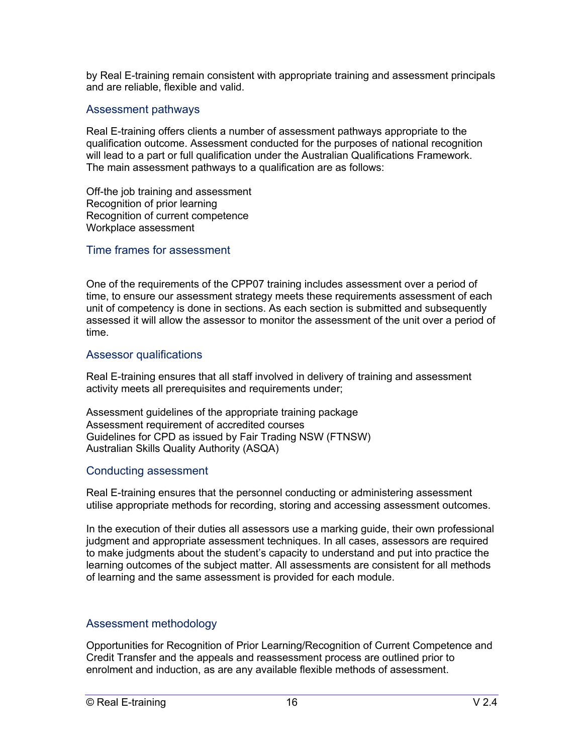by Real E-training remain consistent with appropriate training and assessment principals and are reliable, flexible and valid.

#### Assessment pathways

Real E-training offers clients a number of assessment pathways appropriate to the qualification outcome. Assessment conducted for the purposes of national recognition will lead to a part or full qualification under the Australian Qualifications Framework. The main assessment pathways to a qualification are as follows:

Off-the job training and assessment Recognition of prior learning Recognition of current competence Workplace assessment

#### Time frames for assessment

One of the requirements of the CPP07 training includes assessment over a period of time, to ensure our assessment strategy meets these requirements assessment of each unit of competency is done in sections. As each section is submitted and subsequently assessed it will allow the assessor to monitor the assessment of the unit over a period of time.

#### Assessor qualifications

Real E-training ensures that all staff involved in delivery of training and assessment activity meets all prerequisites and requirements under;

Assessment guidelines of the appropriate training package Assessment requirement of accredited courses Guidelines for CPD as issued by Fair Trading NSW (FTNSW) Australian Skills Quality Authority (ASQA)

#### Conducting assessment

Real E-training ensures that the personnel conducting or administering assessment utilise appropriate methods for recording, storing and accessing assessment outcomes.

In the execution of their duties all assessors use a marking guide, their own professional judgment and appropriate assessment techniques. In all cases, assessors are required to make judgments about the student's capacity to understand and put into practice the learning outcomes of the subject matter. All assessments are consistent for all methods of learning and the same assessment is provided for each module.

#### Assessment methodology

Opportunities for Recognition of Prior Learning/Recognition of Current Competence and Credit Transfer and the appeals and reassessment process are outlined prior to enrolment and induction, as are any available flexible methods of assessment.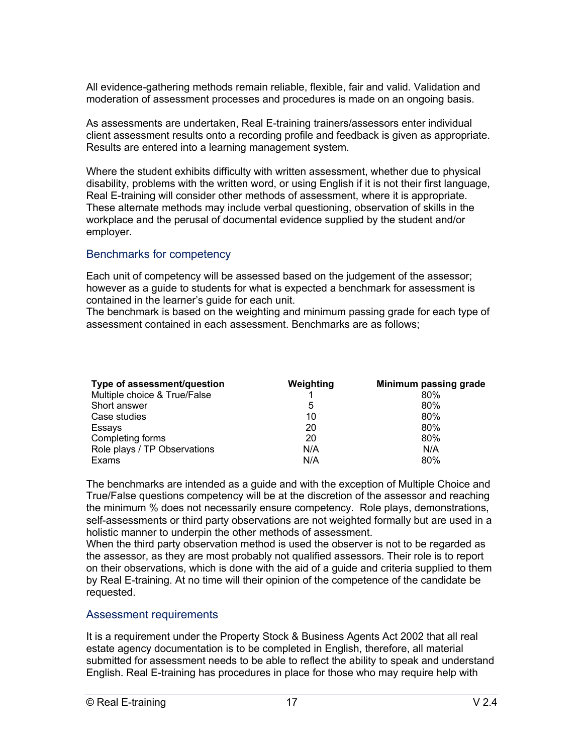All evidence-gathering methods remain reliable, flexible, fair and valid. Validation and moderation of assessment processes and procedures is made on an ongoing basis.

As assessments are undertaken, Real E-training trainers/assessors enter individual client assessment results onto a recording profile and feedback is given as appropriate. Results are entered into a learning management system.

Where the student exhibits difficulty with written assessment, whether due to physical disability, problems with the written word, or using English if it is not their first language, Real E-training will consider other methods of assessment, where it is appropriate. These alternate methods may include verbal questioning, observation of skills in the workplace and the perusal of documental evidence supplied by the student and/or employer.

## Benchmarks for competency

Each unit of competency will be assessed based on the judgement of the assessor; however as a guide to students for what is expected a benchmark for assessment is contained in the learner's guide for each unit.

The benchmark is based on the weighting and minimum passing grade for each type of assessment contained in each assessment. Benchmarks are as follows;

| Type of assessment/question  | Weighting | Minimum passing grade |
|------------------------------|-----------|-----------------------|
| Multiple choice & True/False |           | $80\%$                |
| Short answer                 | 5         | 80%                   |
| Case studies                 | 10        | 80%                   |
| Essays                       | 20        | 80%                   |
| Completing forms             | 20        | 80%                   |
| Role plays / TP Observations | N/A       | N/A                   |
| Exams                        | N/A       | 80%                   |

The benchmarks are intended as a guide and with the exception of Multiple Choice and True/False questions competency will be at the discretion of the assessor and reaching the minimum % does not necessarily ensure competency. Role plays, demonstrations, self-assessments or third party observations are not weighted formally but are used in a holistic manner to underpin the other methods of assessment.

When the third party observation method is used the observer is not to be regarded as the assessor, as they are most probably not qualified assessors. Their role is to report on their observations, which is done with the aid of a guide and criteria supplied to them by Real E-training. At no time will their opinion of the competence of the candidate be requested.

#### Assessment requirements

It is a requirement under the Property Stock & Business Agents Act 2002 that all real estate agency documentation is to be completed in English, therefore, all material submitted for assessment needs to be able to reflect the ability to speak and understand English. Real E-training has procedures in place for those who may require help with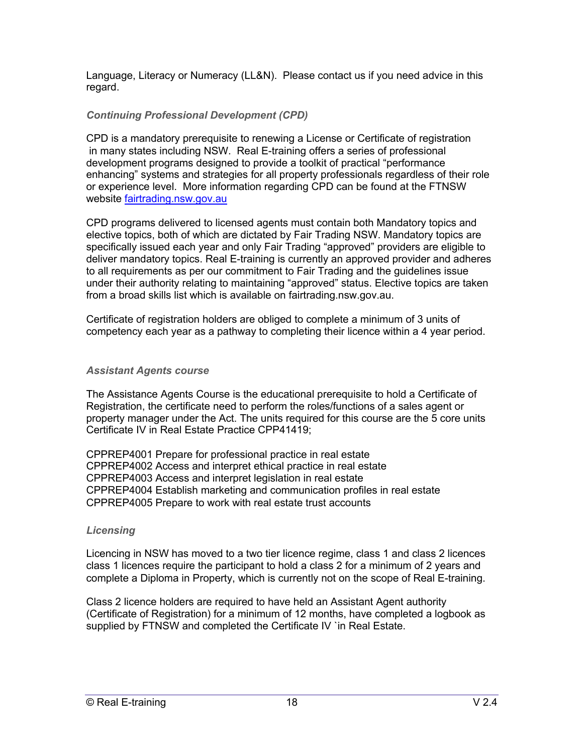Language, Literacy or Numeracy (LL&N). Please contact us if you need advice in this regard.

## *Continuing Professional Development (CPD)*

CPD is a mandatory prerequisite to renewing a License or Certificate of registration in many states including NSW. Real E-training offers a series of professional development programs designed to provide a toolkit of practical "performance enhancing" systems and strategies for all property professionals regardless of their role or experience level. More information regarding CPD can be found at the FTNSW website fairtrading.nsw.gov.au

CPD programs delivered to licensed agents must contain both Mandatory topics and elective topics, both of which are dictated by Fair Trading NSW. Mandatory topics are specifically issued each year and only Fair Trading "approved" providers are eligible to deliver mandatory topics. Real E-training is currently an approved provider and adheres to all requirements as per our commitment to Fair Trading and the guidelines issue under their authority relating to maintaining "approved" status. Elective topics are taken from a broad skills list which is available on fairtrading.nsw.gov.au.

Certificate of registration holders are obliged to complete a minimum of 3 units of competency each year as a pathway to completing their licence within a 4 year period.

#### *Assistant Agents course*

The Assistance Agents Course is the educational prerequisite to hold a Certificate of Registration, the certificate need to perform the roles/functions of a sales agent or property manager under the Act. The units required for this course are the 5 core units Certificate IV in Real Estate Practice CPP41419;

CPPREP4001 Prepare for professional practice in real estate CPPREP4002 Access and interpret ethical practice in real estate CPPREP4003 Access and interpret legislation in real estate CPPREP4004 Establish marketing and communication profiles in real estate CPPREP4005 Prepare to work with real estate trust accounts

#### *Licensing*

Licencing in NSW has moved to a two tier licence regime, class 1 and class 2 licences class 1 licences require the participant to hold a class 2 for a minimum of 2 years and complete a Diploma in Property, which is currently not on the scope of Real E-training.

Class 2 licence holders are required to have held an Assistant Agent authority (Certificate of Registration) for a minimum of 12 months, have completed a logbook as supplied by FTNSW and completed the Certificate IV `in Real Estate.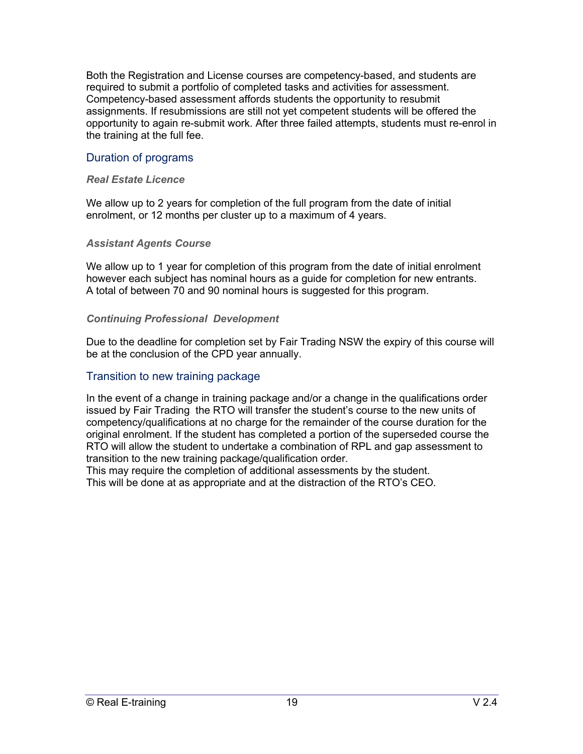Both the Registration and License courses are competency-based, and students are required to submit a portfolio of completed tasks and activities for assessment. Competency-based assessment affords students the opportunity to resubmit assignments. If resubmissions are still not yet competent students will be offered the opportunity to again re-submit work. After three failed attempts, students must re-enrol in the training at the full fee.

#### Duration of programs

#### *Real Estate Licence*

We allow up to 2 years for completion of the full program from the date of initial enrolment, or 12 months per cluster up to a maximum of 4 years.

#### *Assistant Agents Course*

We allow up to 1 year for completion of this program from the date of initial enrolment however each subject has nominal hours as a guide for completion for new entrants. A total of between 70 and 90 nominal hours is suggested for this program.

#### *Continuing Professional Development*

Due to the deadline for completion set by Fair Trading NSW the expiry of this course will be at the conclusion of the CPD year annually.

#### Transition to new training package

In the event of a change in training package and/or a change in the qualifications order issued by Fair Trading the RTO will transfer the student's course to the new units of competency/qualifications at no charge for the remainder of the course duration for the original enrolment. If the student has completed a portion of the superseded course the RTO will allow the student to undertake a combination of RPL and gap assessment to transition to the new training package/qualification order.

This may require the completion of additional assessments by the student. This will be done at as appropriate and at the distraction of the RTO's CEO.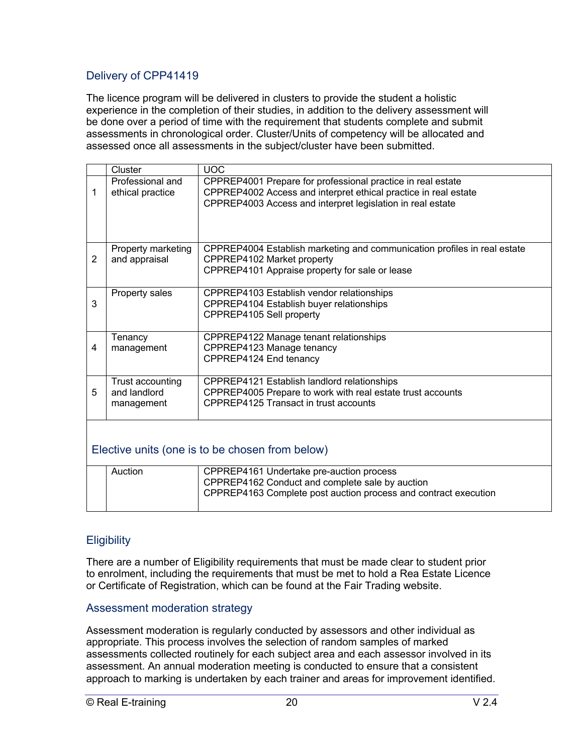## Delivery of CPP41419

The licence program will be delivered in clusters to provide the student a holistic experience in the completion of their studies, in addition to the delivery assessment will be done over a period of time with the requirement that students complete and submit assessments in chronological order. Cluster/Units of competency will be allocated and assessed once all assessments in the subject/cluster have been submitted.

|   | Cluster            | <b>UOC</b>                                                               |
|---|--------------------|--------------------------------------------------------------------------|
|   | Professional and   | CPPREP4001 Prepare for professional practice in real estate              |
| 1 | ethical practice   | CPPREP4002 Access and interpret ethical practice in real estate          |
|   |                    | CPPREP4003 Access and interpret legislation in real estate               |
|   |                    |                                                                          |
|   |                    |                                                                          |
|   |                    |                                                                          |
|   | Property marketing | CPPREP4004 Establish marketing and communication profiles in real estate |
| 2 | and appraisal      | CPPREP4102 Market property                                               |
|   |                    | CPPREP4101 Appraise property for sale or lease                           |
|   |                    |                                                                          |
|   | Property sales     | CPPREP4103 Establish vendor relationships                                |
| 3 |                    | CPPREP4104 Establish buyer relationships                                 |
|   |                    | CPPREP4105 Sell property                                                 |
|   |                    |                                                                          |
|   | Tenancy            | CPPREP4122 Manage tenant relationships                                   |
| 4 | management         | CPPREP4123 Manage tenancy                                                |
|   |                    | CPPREP4124 End tenancy                                                   |
|   |                    |                                                                          |
|   | Trust accounting   | CPPREP4121 Establish landlord relationships                              |
| 5 | and landlord       | CPPREP4005 Prepare to work with real estate trust accounts               |
|   | management         | CPPREP4125 Transact in trust accounts                                    |
|   |                    |                                                                          |
|   |                    |                                                                          |
|   |                    |                                                                          |
|   |                    | Elective units (one is to be chosen from below)                          |
|   |                    |                                                                          |
|   | Auction            | CPPREP4161 Undertake pre-auction process                                 |
|   |                    | CPPREP4162 Conduct and complete sale by auction                          |
|   |                    | CPPREP4163 Complete post auction process and contract execution          |

## **Eligibility**

There are a number of Eligibility requirements that must be made clear to student prior to enrolment, including the requirements that must be met to hold a Rea Estate Licence or Certificate of Registration, which can be found at the Fair Trading website.

#### Assessment moderation strategy

Assessment moderation is regularly conducted by assessors and other individual as appropriate. This process involves the selection of random samples of marked assessments collected routinely for each subject area and each assessor involved in its assessment. An annual moderation meeting is conducted to ensure that a consistent approach to marking is undertaken by each trainer and areas for improvement identified.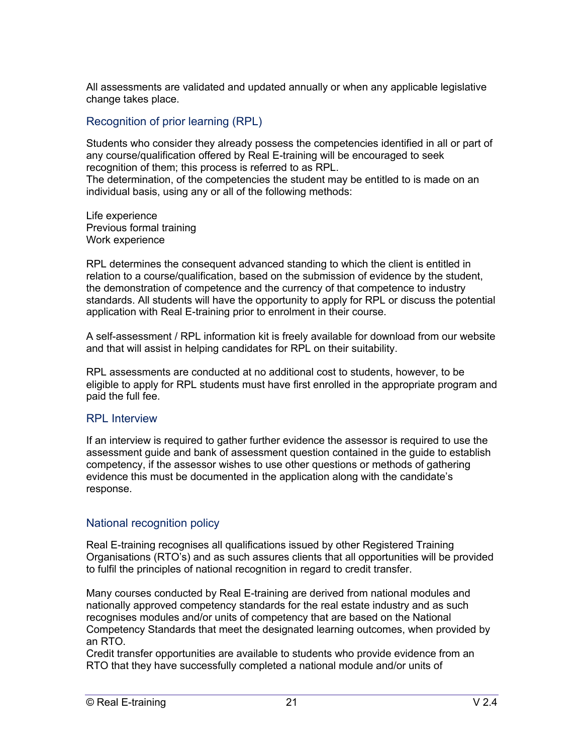All assessments are validated and updated annually or when any applicable legislative change takes place.

## Recognition of prior learning (RPL)

Students who consider they already possess the competencies identified in all or part of any course/qualification offered by Real E-training will be encouraged to seek recognition of them; this process is referred to as RPL.

The determination, of the competencies the student may be entitled to is made on an individual basis, using any or all of the following methods:

Life experience Previous formal training Work experience

RPL determines the consequent advanced standing to which the client is entitled in relation to a course/qualification, based on the submission of evidence by the student, the demonstration of competence and the currency of that competence to industry standards. All students will have the opportunity to apply for RPL or discuss the potential application with Real E-training prior to enrolment in their course.

A self-assessment / RPL information kit is freely available for download from our website and that will assist in helping candidates for RPL on their suitability.

RPL assessments are conducted at no additional cost to students, however, to be eligible to apply for RPL students must have first enrolled in the appropriate program and paid the full fee.

#### RPL Interview

If an interview is required to gather further evidence the assessor is required to use the assessment guide and bank of assessment question contained in the guide to establish competency, if the assessor wishes to use other questions or methods of gathering evidence this must be documented in the application along with the candidate's response.

## National recognition policy

Real E-training recognises all qualifications issued by other Registered Training Organisations (RTO's) and as such assures clients that all opportunities will be provided to fulfil the principles of national recognition in regard to credit transfer.

Many courses conducted by Real E-training are derived from national modules and nationally approved competency standards for the real estate industry and as such recognises modules and/or units of competency that are based on the National Competency Standards that meet the designated learning outcomes, when provided by an RTO.

Credit transfer opportunities are available to students who provide evidence from an RTO that they have successfully completed a national module and/or units of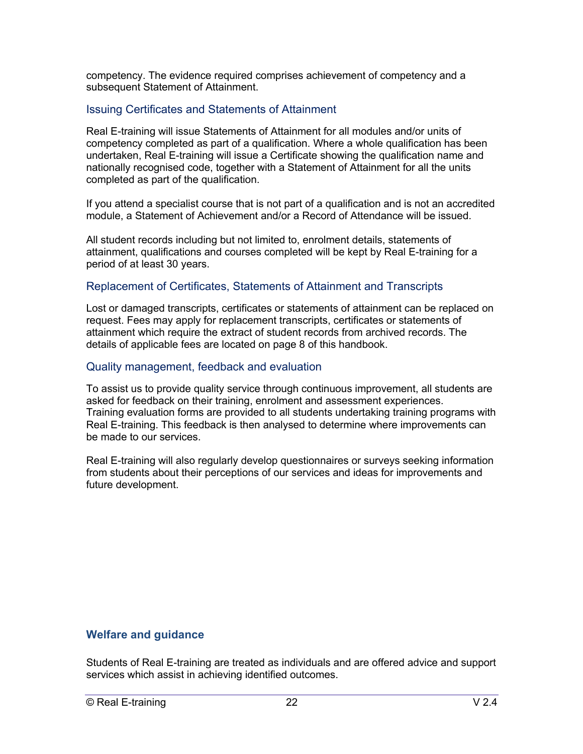competency. The evidence required comprises achievement of competency and a subsequent Statement of Attainment.

#### Issuing Certificates and Statements of Attainment

Real E-training will issue Statements of Attainment for all modules and/or units of competency completed as part of a qualification. Where a whole qualification has been undertaken, Real E-training will issue a Certificate showing the qualification name and nationally recognised code, together with a Statement of Attainment for all the units completed as part of the qualification.

If you attend a specialist course that is not part of a qualification and is not an accredited module, a Statement of Achievement and/or a Record of Attendance will be issued.

All student records including but not limited to, enrolment details, statements of attainment, qualifications and courses completed will be kept by Real E-training for a period of at least 30 years.

#### Replacement of Certificates, Statements of Attainment and Transcripts

Lost or damaged transcripts, certificates or statements of attainment can be replaced on request. Fees may apply for replacement transcripts, certificates or statements of attainment which require the extract of student records from archived records. The details of applicable fees are located on page 8 of this handbook.

#### Quality management, feedback and evaluation

To assist us to provide quality service through continuous improvement, all students are asked for feedback on their training, enrolment and assessment experiences. Training evaluation forms are provided to all students undertaking training programs with Real E-training. This feedback is then analysed to determine where improvements can be made to our services.

Real E-training will also regularly develop questionnaires or surveys seeking information from students about their perceptions of our services and ideas for improvements and future development.

#### **Welfare and guidance**

Students of Real E-training are treated as individuals and are offered advice and support services which assist in achieving identified outcomes.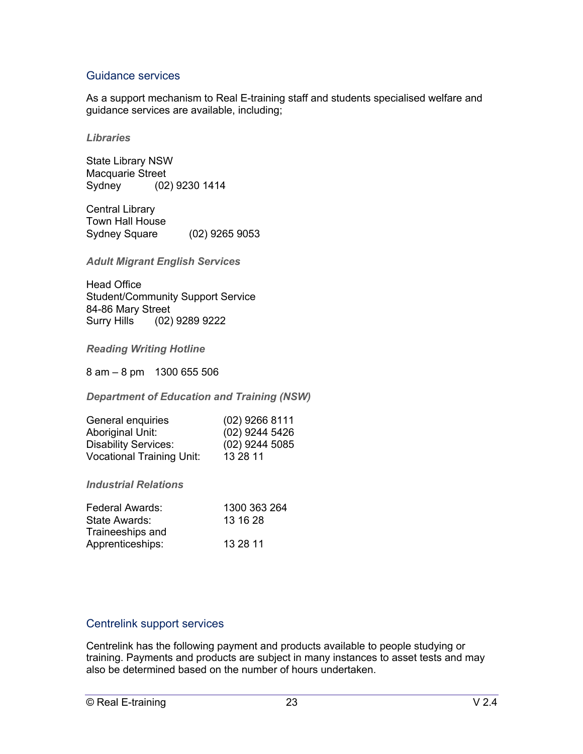## Guidance services

As a support mechanism to Real E-training staff and students specialised welfare and guidance services are available, including;

#### *Libraries*

State Library NSW Macquarie Street Sydney (02) 9230 1414

Central Library Town Hall House Sydney Square (02) 9265 9053

*Adult Migrant English Services*

Head Office Student/Community Support Service 84-86 Mary Street Surry Hills (02) 9289 9222

*Reading Writing Hotline*

8 am – 8 pm 1300 655 506

*Department of Education and Training (NSW)*

| General enquiries                | $(02)$ 9266 8111 |
|----------------------------------|------------------|
| Aboriginal Unit:                 | $(02)$ 9244 5426 |
| <b>Disability Services:</b>      | $(02)$ 9244 5085 |
| <b>Vocational Training Unit:</b> | 13 28 11         |

*Industrial Relations*

| 1300 363 264 |
|--------------|
| 13 16 28     |
|              |
| 13 28 11     |
|              |

#### Centrelink support services

Centrelink has the following payment and products available to people studying or training. Payments and products are subject in many instances to asset tests and may also be determined based on the number of hours undertaken.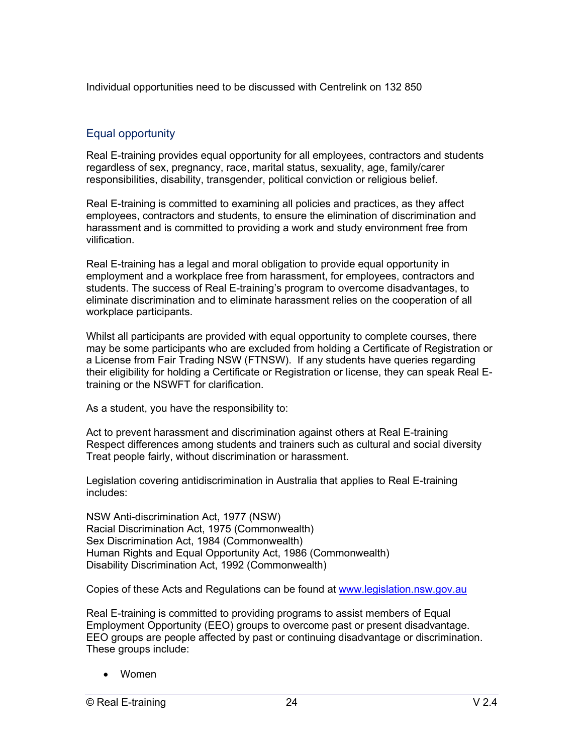Individual opportunities need to be discussed with Centrelink on 132 850

# Equal opportunity

Real E-training provides equal opportunity for all employees, contractors and students regardless of sex, pregnancy, race, marital status, sexuality, age, family/carer responsibilities, disability, transgender, political conviction or religious belief.

Real E-training is committed to examining all policies and practices, as they affect employees, contractors and students, to ensure the elimination of discrimination and harassment and is committed to providing a work and study environment free from vilification.

Real E-training has a legal and moral obligation to provide equal opportunity in employment and a workplace free from harassment, for employees, contractors and students. The success of Real E-training's program to overcome disadvantages, to eliminate discrimination and to eliminate harassment relies on the cooperation of all workplace participants.

Whilst all participants are provided with equal opportunity to complete courses, there may be some participants who are excluded from holding a Certificate of Registration or a License from Fair Trading NSW (FTNSW). If any students have queries regarding their eligibility for holding a Certificate or Registration or license, they can speak Real Etraining or the NSWFT for clarification.

As a student, you have the responsibility to:

Act to prevent harassment and discrimination against others at Real E-training Respect differences among students and trainers such as cultural and social diversity Treat people fairly, without discrimination or harassment.

Legislation covering antidiscrimination in Australia that applies to Real E-training includes:

NSW Anti-discrimination Act, 1977 (NSW) Racial Discrimination Act, 1975 (Commonwealth) Sex Discrimination Act, 1984 (Commonwealth) Human Rights and Equal Opportunity Act, 1986 (Commonwealth) Disability Discrimination Act, 1992 (Commonwealth)

Copies of these Acts and Regulations can be found at www.legislation.nsw.gov.au

Real E-training is committed to providing programs to assist members of Equal Employment Opportunity (EEO) groups to overcome past or present disadvantage. EEO groups are people affected by past or continuing disadvantage or discrimination. These groups include:

• Women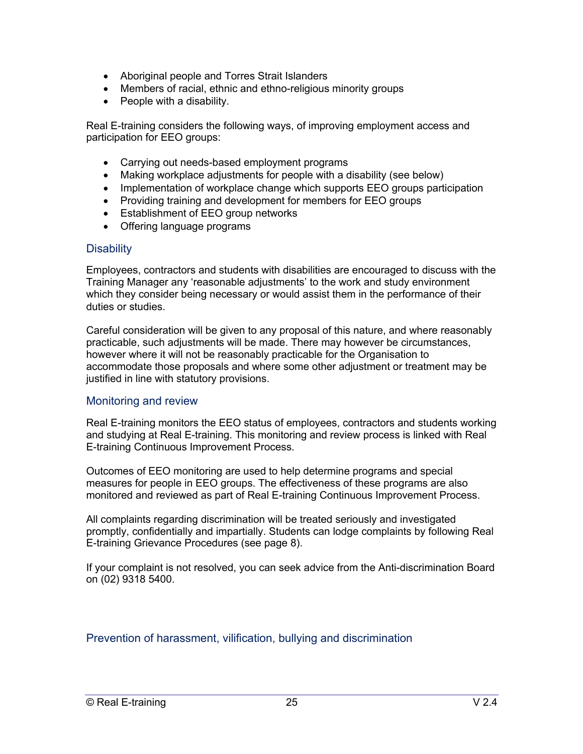- Aboriginal people and Torres Strait Islanders
- Members of racial, ethnic and ethno-religious minority groups
- People with a disability.

Real E-training considers the following ways, of improving employment access and participation for EEO groups:

- Carrying out needs-based employment programs
- Making workplace adjustments for people with a disability (see below)
- Implementation of workplace change which supports EEO groups participation
- Providing training and development for members for EEO groups
- Establishment of EEO group networks
- Offering language programs

## **Disability**

Employees, contractors and students with disabilities are encouraged to discuss with the Training Manager any 'reasonable adjustments' to the work and study environment which they consider being necessary or would assist them in the performance of their duties or studies.

Careful consideration will be given to any proposal of this nature, and where reasonably practicable, such adjustments will be made. There may however be circumstances, however where it will not be reasonably practicable for the Organisation to accommodate those proposals and where some other adjustment or treatment may be justified in line with statutory provisions.

## Monitoring and review

Real E-training monitors the EEO status of employees, contractors and students working and studying at Real E-training. This monitoring and review process is linked with Real E-training Continuous Improvement Process.

Outcomes of EEO monitoring are used to help determine programs and special measures for people in EEO groups. The effectiveness of these programs are also monitored and reviewed as part of Real E-training Continuous Improvement Process.

All complaints regarding discrimination will be treated seriously and investigated promptly, confidentially and impartially. Students can lodge complaints by following Real E-training Grievance Procedures (see page 8).

If your complaint is not resolved, you can seek advice from the Anti-discrimination Board on (02) 9318 5400.

Prevention of harassment, vilification, bullying and discrimination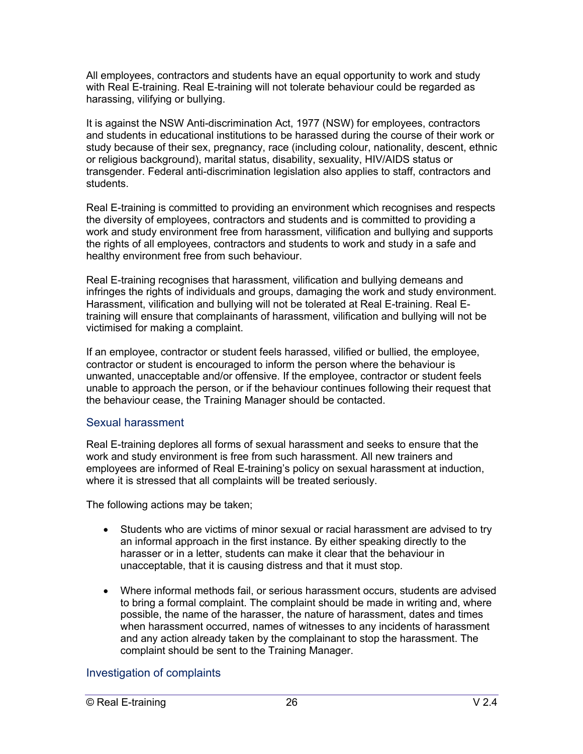All employees, contractors and students have an equal opportunity to work and study with Real E-training. Real E-training will not tolerate behaviour could be regarded as harassing, vilifying or bullying.

It is against the NSW Anti-discrimination Act, 1977 (NSW) for employees, contractors and students in educational institutions to be harassed during the course of their work or study because of their sex, pregnancy, race (including colour, nationality, descent, ethnic or religious background), marital status, disability, sexuality, HIV/AIDS status or transgender. Federal anti-discrimination legislation also applies to staff, contractors and students.

Real E-training is committed to providing an environment which recognises and respects the diversity of employees, contractors and students and is committed to providing a work and study environment free from harassment, vilification and bullying and supports the rights of all employees, contractors and students to work and study in a safe and healthy environment free from such behaviour.

Real E-training recognises that harassment, vilification and bullying demeans and infringes the rights of individuals and groups, damaging the work and study environment. Harassment, vilification and bullying will not be tolerated at Real E-training. Real Etraining will ensure that complainants of harassment, vilification and bullying will not be victimised for making a complaint.

If an employee, contractor or student feels harassed, vilified or bullied, the employee, contractor or student is encouraged to inform the person where the behaviour is unwanted, unacceptable and/or offensive. If the employee, contractor or student feels unable to approach the person, or if the behaviour continues following their request that the behaviour cease, the Training Manager should be contacted.

#### Sexual harassment

Real E-training deplores all forms of sexual harassment and seeks to ensure that the work and study environment is free from such harassment. All new trainers and employees are informed of Real E-training's policy on sexual harassment at induction, where it is stressed that all complaints will be treated seriously.

The following actions may be taken;

- Students who are victims of minor sexual or racial harassment are advised to try an informal approach in the first instance. By either speaking directly to the harasser or in a letter, students can make it clear that the behaviour in unacceptable, that it is causing distress and that it must stop.
- Where informal methods fail, or serious harassment occurs, students are advised to bring a formal complaint. The complaint should be made in writing and, where possible, the name of the harasser, the nature of harassment, dates and times when harassment occurred, names of witnesses to any incidents of harassment and any action already taken by the complainant to stop the harassment. The complaint should be sent to the Training Manager.

## Investigation of complaints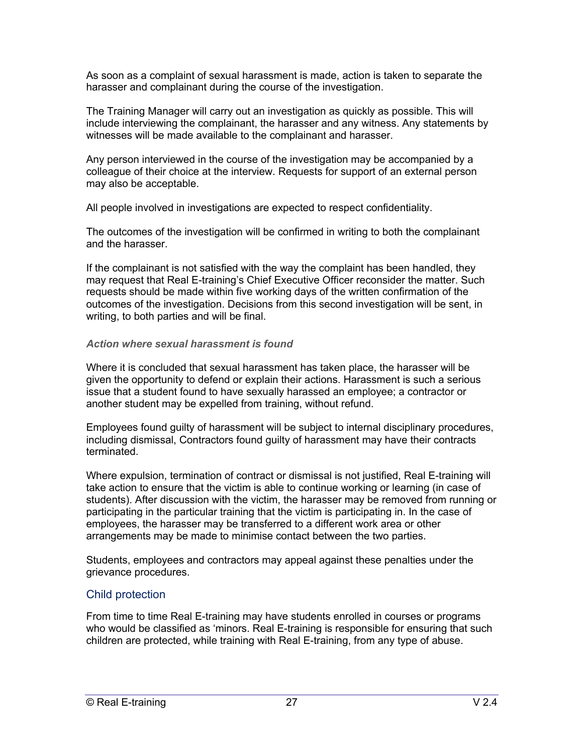As soon as a complaint of sexual harassment is made, action is taken to separate the harasser and complainant during the course of the investigation.

The Training Manager will carry out an investigation as quickly as possible. This will include interviewing the complainant, the harasser and any witness. Any statements by witnesses will be made available to the complainant and harasser.

Any person interviewed in the course of the investigation may be accompanied by a colleague of their choice at the interview. Requests for support of an external person may also be acceptable.

All people involved in investigations are expected to respect confidentiality.

The outcomes of the investigation will be confirmed in writing to both the complainant and the harasser.

If the complainant is not satisfied with the way the complaint has been handled, they may request that Real E-training's Chief Executive Officer reconsider the matter. Such requests should be made within five working days of the written confirmation of the outcomes of the investigation. Decisions from this second investigation will be sent, in writing, to both parties and will be final.

#### *Action where sexual harassment is found*

Where it is concluded that sexual harassment has taken place, the harasser will be given the opportunity to defend or explain their actions. Harassment is such a serious issue that a student found to have sexually harassed an employee; a contractor or another student may be expelled from training, without refund.

Employees found guilty of harassment will be subject to internal disciplinary procedures, including dismissal, Contractors found guilty of harassment may have their contracts terminated.

Where expulsion, termination of contract or dismissal is not justified, Real E-training will take action to ensure that the victim is able to continue working or learning (in case of students). After discussion with the victim, the harasser may be removed from running or participating in the particular training that the victim is participating in. In the case of employees, the harasser may be transferred to a different work area or other arrangements may be made to minimise contact between the two parties.

Students, employees and contractors may appeal against these penalties under the grievance procedures.

## Child protection

From time to time Real E-training may have students enrolled in courses or programs who would be classified as 'minors. Real E-training is responsible for ensuring that such children are protected, while training with Real E-training, from any type of abuse.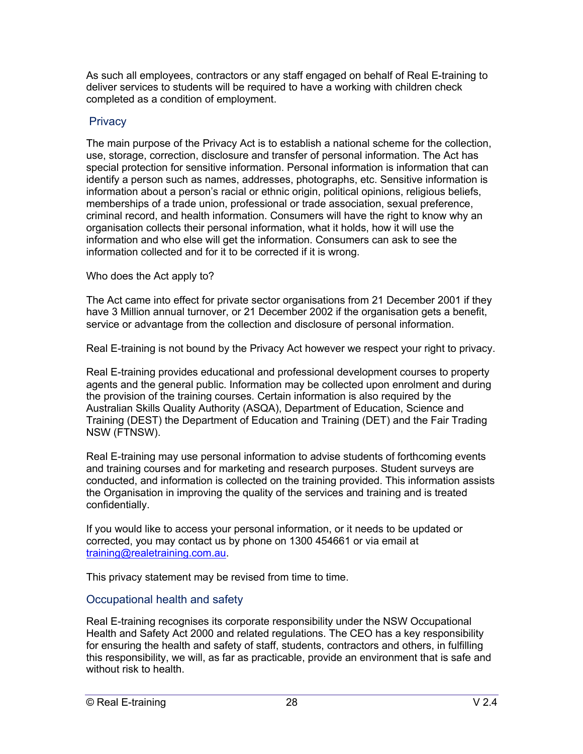As such all employees, contractors or any staff engaged on behalf of Real E-training to deliver services to students will be required to have a working with children check completed as a condition of employment.

## **Privacy**

The main purpose of the Privacy Act is to establish a national scheme for the collection, use, storage, correction, disclosure and transfer of personal information. The Act has special protection for sensitive information. Personal information is information that can identify a person such as names, addresses, photographs, etc. Sensitive information is information about a person's racial or ethnic origin, political opinions, religious beliefs, memberships of a trade union, professional or trade association, sexual preference, criminal record, and health information. Consumers will have the right to know why an organisation collects their personal information, what it holds, how it will use the information and who else will get the information. Consumers can ask to see the information collected and for it to be corrected if it is wrong.

Who does the Act apply to?

The Act came into effect for private sector organisations from 21 December 2001 if they have 3 Million annual turnover, or 21 December 2002 if the organisation gets a benefit, service or advantage from the collection and disclosure of personal information.

Real E-training is not bound by the Privacy Act however we respect your right to privacy.

Real E-training provides educational and professional development courses to property agents and the general public. Information may be collected upon enrolment and during the provision of the training courses. Certain information is also required by the Australian Skills Quality Authority (ASQA), Department of Education, Science and Training (DEST) the Department of Education and Training (DET) and the Fair Trading NSW (FTNSW).

Real E-training may use personal information to advise students of forthcoming events and training courses and for marketing and research purposes. Student surveys are conducted, and information is collected on the training provided. This information assists the Organisation in improving the quality of the services and training and is treated confidentially.

If you would like to access your personal information, or it needs to be updated or corrected, you may contact us by phone on 1300 454661 or via email at training@realetraining.com.au.

This privacy statement may be revised from time to time.

# Occupational health and safety

Real E-training recognises its corporate responsibility under the NSW Occupational Health and Safety Act 2000 and related regulations. The CEO has a key responsibility for ensuring the health and safety of staff, students, contractors and others, in fulfilling this responsibility, we will, as far as practicable, provide an environment that is safe and without risk to health.